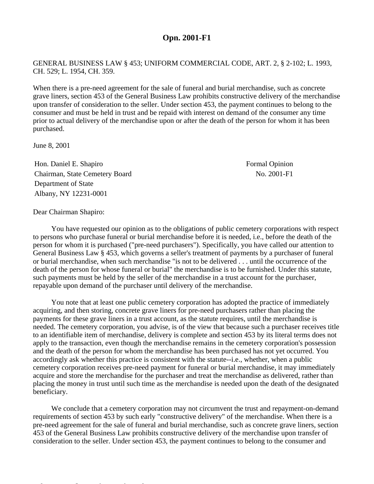## **Opn. 2001-F1**

GENERAL BUSINESS LAW § 453; UNIFORM COMMERCIAL CODE, ART. 2, § 2-102; L. 1993, CH. 529; L. 1954, CH. 359.

When there is a pre-need agreement for the sale of funeral and burial merchandise, such as concrete grave liners, section 453 of the General Business Law prohibits constructive delivery of the merchandise upon transfer of consideration to the seller. Under section 453, the payment continues to belong to the consumer and must be held in trust and be repaid with interest on demand of the consumer any time prior to actual delivery of the merchandise upon or after the death of the person for whom it has been purchased.

June 8, 2001

Hon. Daniel E. Shapiro **Formal Opinion** Formal Opinion Chairman, State Cemetery Board No. 2001-F1 Department of State Albany, NY 12231-0001

Dear Chairman Shapiro:

You have requested our opinion as to the obligations of public cemetery corporations with respect to persons who purchase funeral or burial merchandise before it is needed, i.e., before the death of the person for whom it is purchased ("pre-need purchasers"). Specifically, you have called our attention to General Business Law § 453, which governs a seller's treatment of payments by a purchaser of funeral or burial merchandise, when such merchandise "is not to be delivered . . . until the occurrence of the death of the person for whose funeral or burial" the merchandise is to be furnished. Under this statute, such payments must be held by the seller of the merchandise in a trust account for the purchaser, repayable upon demand of the purchaser until delivery of the merchandise.

You note that at least one public cemetery corporation has adopted the practice of immediately acquiring, and then storing, concrete grave liners for pre-need purchasers rather than placing the payments for these grave liners in a trust account, as the statute requires, until the merchandise is needed. The cemetery corporation, you advise, is of the view that because such a purchaser receives title to an identifiable item of merchandise, delivery is complete and section 453 by its literal terms does not apply to the transaction, even though the merchandise remains in the cemetery corporation's possession and the death of the person for whom the merchandise has been purchased has not yet occurred. You accordingly ask whether this practice is consistent with the statute--i.e., whether, when a public cemetery corporation receives pre-need payment for funeral or burial merchandise, it may immediately acquire and store the merchandise for the purchaser and treat the merchandise as delivered, rather than placing the money in trust until such time as the merchandise is needed upon the death of the designated beneficiary.

We conclude that a cemetery corporation may not circumvent the trust and repayment-on-demand requirements of section 453 by such early "constructive delivery" of the merchandise. When there is a pre-need agreement for the sale of funeral and burial merchandise, such as concrete grave liners, section 453 of the General Business Law prohibits constructive delivery of the merchandise upon transfer of consideration to the seller. Under section 453, the payment continues to belong to the consumer and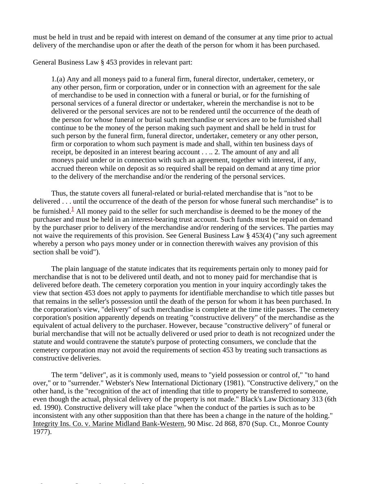must be held in trust and be repaid with interest on demand of the consumer at any time prior to actual delivery of the merchandise upon or after the death of the person for whom it has been purchased.

General Business Law § 453 provides in relevant part:

1.(a) Any and all moneys paid to a funeral firm, funeral director, undertaker, cemetery, or any other person, firm or corporation, under or in connection with an agreement for the sale of merchandise to be used in connection with a funeral or burial, or for the furnishing of personal services of a funeral director or undertaker, wherein the merchandise is not to be delivered or the personal services are not to be rendered until the occurrence of the death of the person for whose funeral or burial such merchandise or services are to be furnished shall continue to be the money of the person making such payment and shall be held in trust for such person by the funeral firm, funeral director, undertaker, cemetery or any other person, firm or corporation to whom such payment is made and shall, within ten business days of receipt, be deposited in an interest bearing account . . .. 2. The amount of any and all moneys paid under or in connection with such an agreement, together with interest, if any, accrued thereon while on deposit as so required shall be repaid on demand at any time prior to the delivery of the merchandise and/or the rendering of the personal services.

Thus, the statute covers all funeral-related or burial-related merchandise that is "not to be delivered . . . until the occurrence of the death of the person for whose funeral such merchandise" is to be furnished.<sup>1</sup> All money paid to the seller for such merchandise is deemed to be the money of the purchaser and must be held in an interest-bearing trust account. Such funds must be repaid on demand by the purchaser prior to delivery of the merchandise and/or rendering of the services. The parties may not waive the requirements of this provision. See General Business Law § 453(4) ("any such agreement whereby a person who pays money under or in connection therewith waives any provision of this section shall be void").

The plain language of the statute indicates that its requirements pertain only to money paid for merchandise that is not to be delivered until death, and not to money paid for merchandise that is delivered before death. The cemetery corporation you mention in your inquiry accordingly takes the view that section 453 does not apply to payments for identifiable merchandise to which title passes but that remains in the seller's possession until the death of the person for whom it has been purchased. In the corporation's view, "delivery" of such merchandise is complete at the time title passes. The cemetery corporation's position apparently depends on treating "constructive delivery" of the merchandise as the equivalent of actual delivery to the purchaser. However, because "constructive delivery" of funeral or burial merchandise that will not be actually delivered or used prior to death is not recognized under the statute and would contravene the statute's purpose of protecting consumers, we conclude that the cemetery corporation may not avoid the requirements of section 453 by treating such transactions as constructive deliveries.

The term "deliver", as it is commonly used, means to "yield possession or control of," "to hand over," or to "surrender." Webster's New International Dictionary (1981). "Constructive delivery," on the other hand, is the "recognition of the act of intending that title to property be transferred to someone, even though the actual, physical delivery of the property is not made." Black's Law Dictionary 313 (6th ed. 1990). Constructive delivery will take place "when the conduct of the parties is such as to be inconsistent with any other supposition than that there has been a change in the nature of the holding." Integrity Ins. Co. v. Marine Midland Bank-Western, 90 Misc. 2d 868, 870 (Sup. Ct., Monroe County 1977).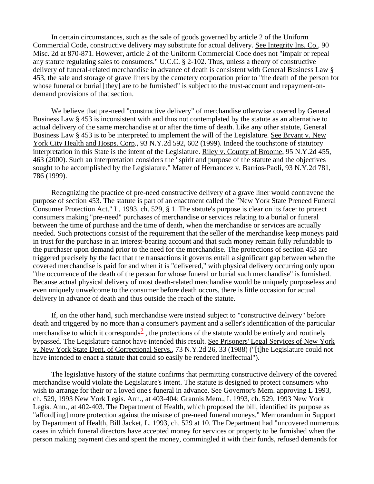In certain circumstances, such as the sale of goods governed by article 2 of the Uniform Commercial Code, constructive delivery may substitute for actual delivery. See Integrity Ins. Co., 90 Misc. 2d at 870-871. However, article 2 of the Uniform Commercial Code does not "impair or repeal any statute regulating sales to consumers." U.C.C. § 2-102. Thus, unless a theory of constructive delivery of funeral-related merchandise in advance of death is consistent with General Business Law § 453, the sale and storage of grave liners by the cemetery corporation prior to "the death of the person for whose funeral or burial [they] are to be furnished" is subject to the trust-account and repayment-ondemand provisions of that section.

We believe that pre-need "constructive delivery" of merchandise otherwise covered by General Business Law § 453 is inconsistent with and thus not contemplated by the statute as an alternative to actual delivery of the same merchandise at or after the time of death. Like any other statute, General Business Law § 453 is to be interpreted to implement the will of the Legislature. See Bryant v. New York City Health and Hosps. Corp., 93 N.Y.2d 592, 602 (1999). Indeed the touchstone of statutory interpretation in this State is the intent of the Legislature. Riley v. County of Broome, 95 N.Y.2d 455, 463 (2000). Such an interpretation considers the "spirit and purpose of the statute and the objectives sought to be accomplished by the Legislature." Matter of Hernandez v. Barrios-Paoli, 93 N.Y.2d 781, 786 (1999).

Recognizing the practice of pre-need constructive delivery of a grave liner would contravene the purpose of section 453. The statute is part of an enactment called the "New York State Preneed Funeral Consumer Protection Act." L. 1993, ch. 529, § 1. The statute's purpose is clear on its face: to protect consumers making "pre-need" purchases of merchandise or services relating to a burial or funeral between the time of purchase and the time of death, when the merchandise or services are actually needed. Such protections consist of the requirement that the seller of the merchandise keep moneys paid in trust for the purchase in an interest-bearing account and that such money remain fully refundable to the purchaser upon demand prior to the need for the merchandise. The protections of section 453 are triggered precisely by the fact that the transactions it governs entail a significant gap between when the covered merchandise is paid for and when it is "delivered," with physical delivery occurring only upon "the occurrence of the death of the person for whose funeral or burial such merchandise" is furnished. Because actual physical delivery of most death-related merchandise would be uniquely purposeless and even uniquely unwelcome to the consumer before death occurs, there is little occasion for actual delivery in advance of death and thus outside the reach of the statute.

If, on the other hand, such merchandise were instead subject to "constructive delivery" before death and triggered by no more than a consumer's payment and a seller's identification of the particular merchandise to which it corresponds<sup>2</sup>, the protections of the statute would be entirely and routinely bypassed. The Legislature cannot have intended this result. See Prisoners' Legal Services of New York v. New York State Dept. of Correctional Servs., 73 N.Y.2d 26, 33 (1988) ("[t]he Legislature could not have intended to enact a statute that could so easily be rendered ineffectual").

The legislative history of the statute confirms that permitting constructive delivery of the covered merchandise would violate the Legislature's intent. The statute is designed to protect consumers who wish to arrange for their or a loved one's funeral in advance. See Governor's Mem. approving L 1993, ch. 529, 1993 New York Legis. Ann., at 403-404; Grannis Mem., L 1993, ch. 529, 1993 New York Legis. Ann., at 402-403. The Department of Health, which proposed the bill, identified its purpose as "afford[ing] more protection against the misuse of pre-need funeral moneys." Memorandum in Support by Department of Health, Bill Jacket, L. 1993, ch. 529 at 10. The Department had "uncovered numerous cases in which funeral directors have accepted money for services or property to be furnished when the person making payment dies and spent the money, commingled it with their funds, refused demands for